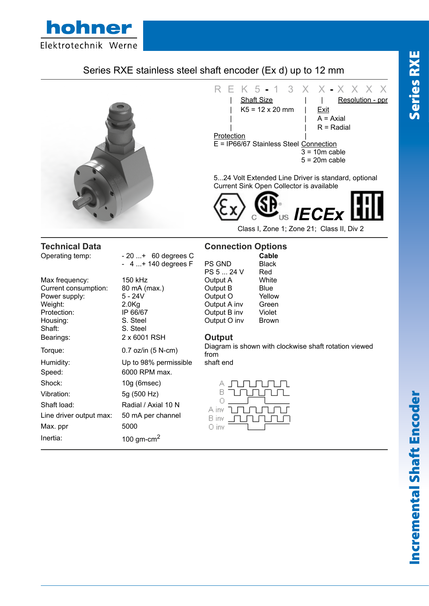

## Series RXE stainless steel shaft encoder (Ex d) up to 12 mm